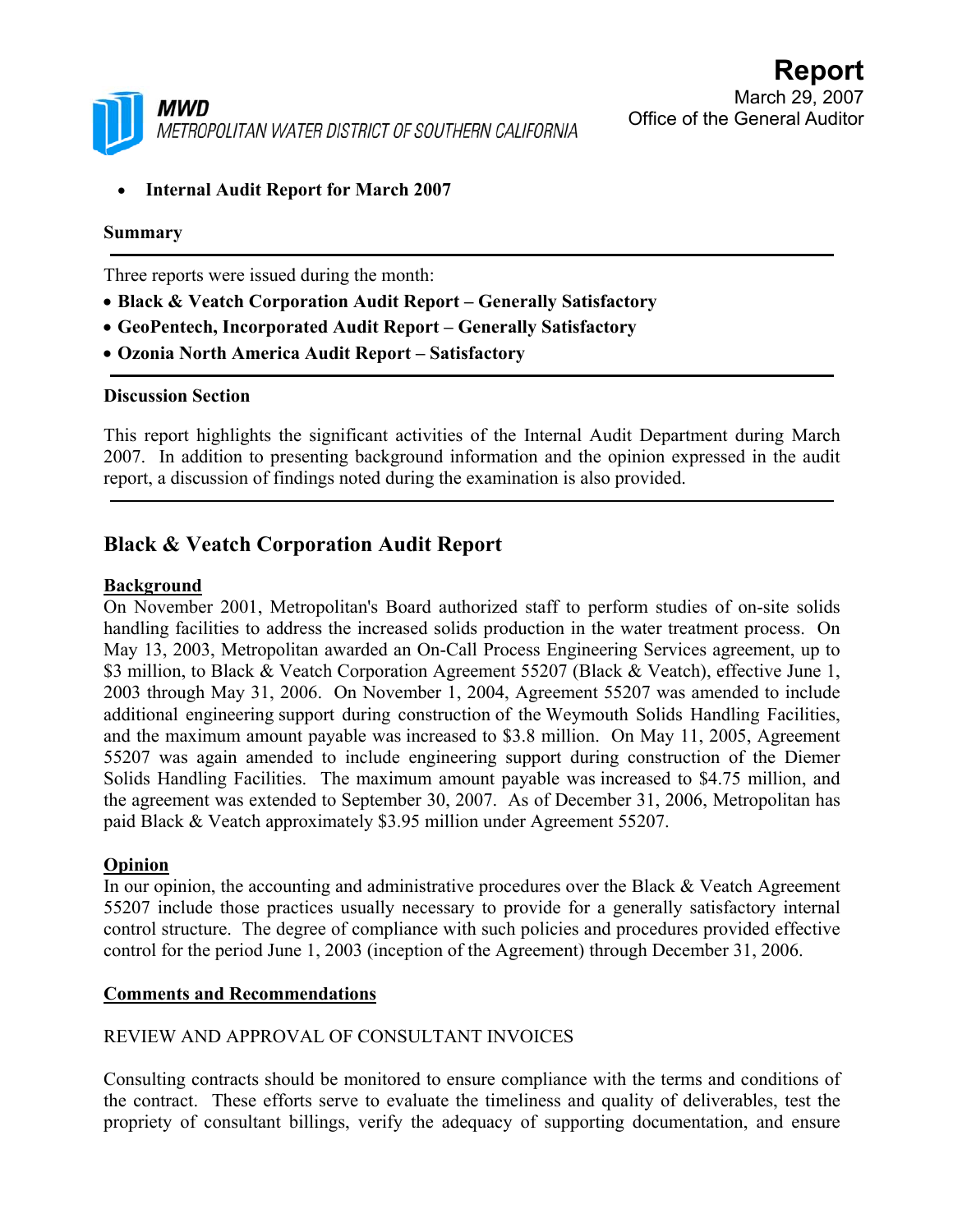

• **Internal Audit Report for March 2007** 

#### **Summary**

Three reports were issued during the month:

- **Black & Veatch Corporation Audit Report Generally Satisfactory**
- **GeoPentech, Incorporated Audit Report Generally Satisfactory**
- **Ozonia North America Audit Report Satisfactory**

#### **Discussion Section**

This report highlights the significant activities of the Internal Audit Department during March 2007. In addition to presenting background information and the opinion expressed in the audit report, a discussion of findings noted during the examination is also provided.

# **Black & Veatch Corporation Audit Report**

### **Background**

On November 2001, Metropolitan's Board authorized staff to perform studies of on-site solids handling facilities to address the increased solids production in the water treatment process. On May 13, 2003, Metropolitan awarded an On-Call Process Engineering Services agreement, up to \$3 million, to Black & Veatch Corporation Agreement 55207 (Black & Veatch), effective June 1, 2003 through May 31, 2006. On November 1, 2004, Agreement 55207 was amended to include additional engineering support during construction of the Weymouth Solids Handling Facilities, and the maximum amount payable was increased to \$3.8 million. On May 11, 2005, Agreement 55207 was again amended to include engineering support during construction of the Diemer Solids Handling Facilities. The maximum amount payable was increased to \$4.75 million, and the agreement was extended to September 30, 2007. As of December 31, 2006, Metropolitan has paid Black & Veatch approximately \$3.95 million under Agreement 55207.

### **Opinion**

In our opinion, the accounting and administrative procedures over the Black & Veatch Agreement 55207 include those practices usually necessary to provide for a generally satisfactory internal control structure. The degree of compliance with such policies and procedures provided effective control for the period June 1, 2003 (inception of the Agreement) through December 31, 2006.

### **Comments and Recommendations**

## REVIEW AND APPROVAL OF CONSULTANT INVOICES

Consulting contracts should be monitored to ensure compliance with the terms and conditions of the contract. These efforts serve to evaluate the timeliness and quality of deliverables, test the propriety of consultant billings, verify the adequacy of supporting documentation, and ensure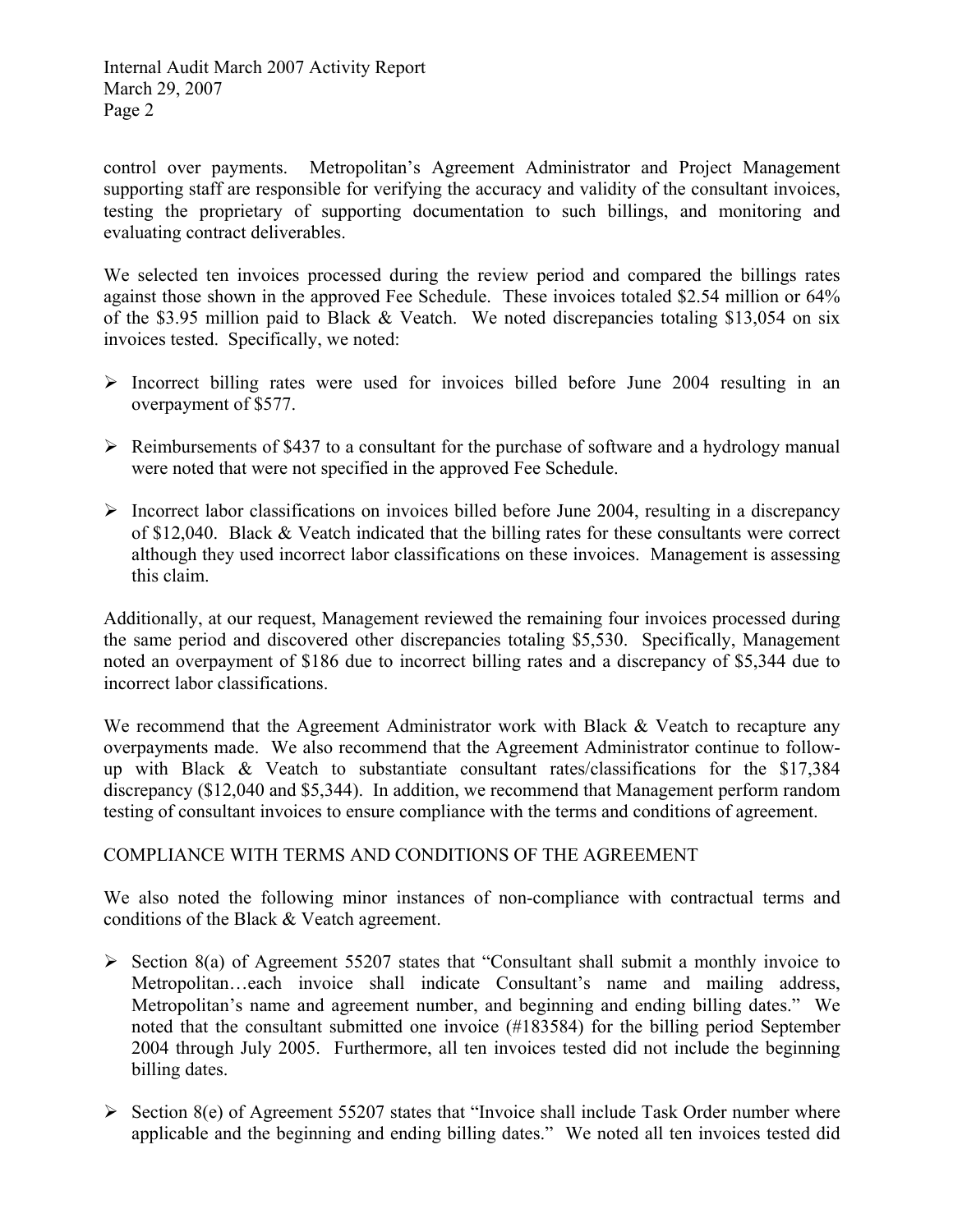Internal Audit March 2007 Activity Report March 29, 2007 Page 2

control over payments. Metropolitan's Agreement Administrator and Project Management supporting staff are responsible for verifying the accuracy and validity of the consultant invoices, testing the proprietary of supporting documentation to such billings, and monitoring and evaluating contract deliverables.

We selected ten invoices processed during the review period and compared the billings rates against those shown in the approved Fee Schedule. These invoices totaled \$2.54 million or 64% of the \$3.95 million paid to Black & Veatch. We noted discrepancies totaling \$13,054 on six invoices tested. Specifically, we noted:

- $\triangleright$  Incorrect billing rates were used for invoices billed before June 2004 resulting in an overpayment of \$577.
- $\triangleright$  Reimbursements of \$437 to a consultant for the purchase of software and a hydrology manual were noted that were not specified in the approved Fee Schedule.
- $\triangleright$  Incorrect labor classifications on invoices billed before June 2004, resulting in a discrepancy of \$12,040. Black & Veatch indicated that the billing rates for these consultants were correct although they used incorrect labor classifications on these invoices. Management is assessing this claim.

Additionally, at our request, Management reviewed the remaining four invoices processed during the same period and discovered other discrepancies totaling \$5,530. Specifically, Management noted an overpayment of \$186 due to incorrect billing rates and a discrepancy of \$5,344 due to incorrect labor classifications.

We recommend that the Agreement Administrator work with Black & Veatch to recapture any overpayments made. We also recommend that the Agreement Administrator continue to followup with Black & Veatch to substantiate consultant rates/classifications for the \$17,384 discrepancy (\$12,040 and \$5,344). In addition, we recommend that Management perform random testing of consultant invoices to ensure compliance with the terms and conditions of agreement.

## COMPLIANCE WITH TERMS AND CONDITIONS OF THE AGREEMENT

We also noted the following minor instances of non-compliance with contractual terms and conditions of the Black & Veatch agreement.

- $\triangleright$  Section 8(a) of Agreement 55207 states that "Consultant shall submit a monthly invoice to Metropolitan…each invoice shall indicate Consultant's name and mailing address, Metropolitan's name and agreement number, and beginning and ending billing dates." We noted that the consultant submitted one invoice (#183584) for the billing period September 2004 through July 2005. Furthermore, all ten invoices tested did not include the beginning billing dates.
- $\triangleright$  Section 8(e) of Agreement 55207 states that "Invoice shall include Task Order number where applicable and the beginning and ending billing dates." We noted all ten invoices tested did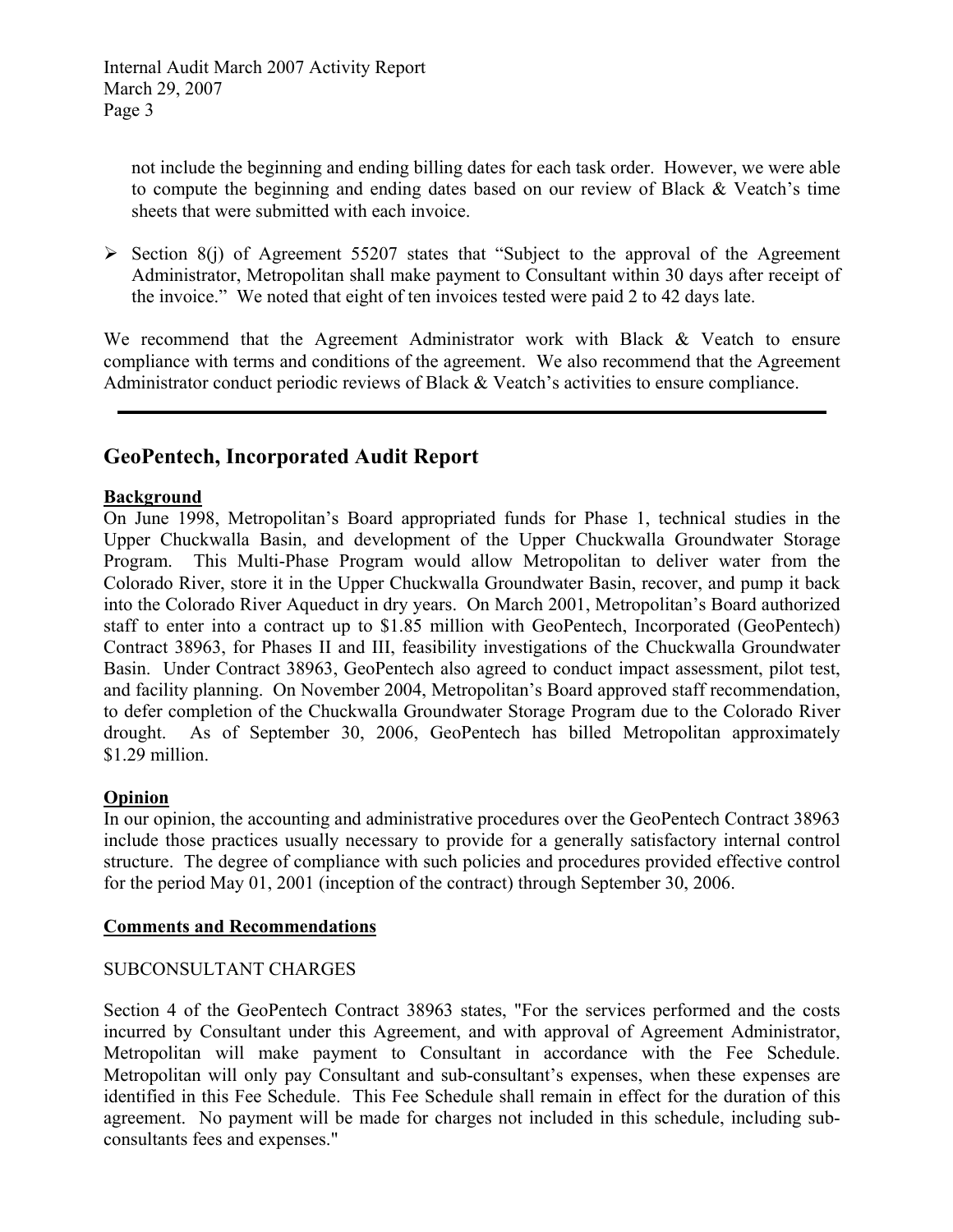not include the beginning and ending billing dates for each task order. However, we were able to compute the beginning and ending dates based on our review of Black & Veatch's time sheets that were submitted with each invoice.

 $\triangleright$  Section 8(j) of Agreement 55207 states that "Subject to the approval of the Agreement Administrator, Metropolitan shall make payment to Consultant within 30 days after receipt of the invoice." We noted that eight of ten invoices tested were paid 2 to 42 days late.

We recommend that the Agreement Administrator work with Black & Veatch to ensure compliance with terms and conditions of the agreement. We also recommend that the Agreement Administrator conduct periodic reviews of Black & Veatch's activities to ensure compliance.

# **GeoPentech, Incorporated Audit Report**

### **Background**

On June 1998, Metropolitan's Board appropriated funds for Phase 1, technical studies in the Upper Chuckwalla Basin, and development of the Upper Chuckwalla Groundwater Storage Program. This Multi-Phase Program would allow Metropolitan to deliver water from the Colorado River, store it in the Upper Chuckwalla Groundwater Basin, recover, and pump it back into the Colorado River Aqueduct in dry years. On March 2001, Metropolitan's Board authorized staff to enter into a contract up to \$1.85 million with GeoPentech, Incorporated (GeoPentech) Contract 38963, for Phases II and III, feasibility investigations of the Chuckwalla Groundwater Basin. Under Contract 38963, GeoPentech also agreed to conduct impact assessment, pilot test, and facility planning. On November 2004, Metropolitan's Board approved staff recommendation, to defer completion of the Chuckwalla Groundwater Storage Program due to the Colorado River drought. As of September 30, 2006, GeoPentech has billed Metropolitan approximately \$1.29 million.

### **Opinion**

In our opinion, the accounting and administrative procedures over the GeoPentech Contract 38963 include those practices usually necessary to provide for a generally satisfactory internal control structure. The degree of compliance with such policies and procedures provided effective control for the period May 01, 2001 (inception of the contract) through September 30, 2006.

### **Comments and Recommendations**

### SUBCONSULTANT CHARGES

Section 4 of the GeoPentech Contract 38963 states, "For the services performed and the costs incurred by Consultant under this Agreement, and with approval of Agreement Administrator, Metropolitan will make payment to Consultant in accordance with the Fee Schedule. Metropolitan will only pay Consultant and sub-consultant's expenses, when these expenses are identified in this Fee Schedule. This Fee Schedule shall remain in effect for the duration of this agreement. No payment will be made for charges not included in this schedule, including subconsultants fees and expenses."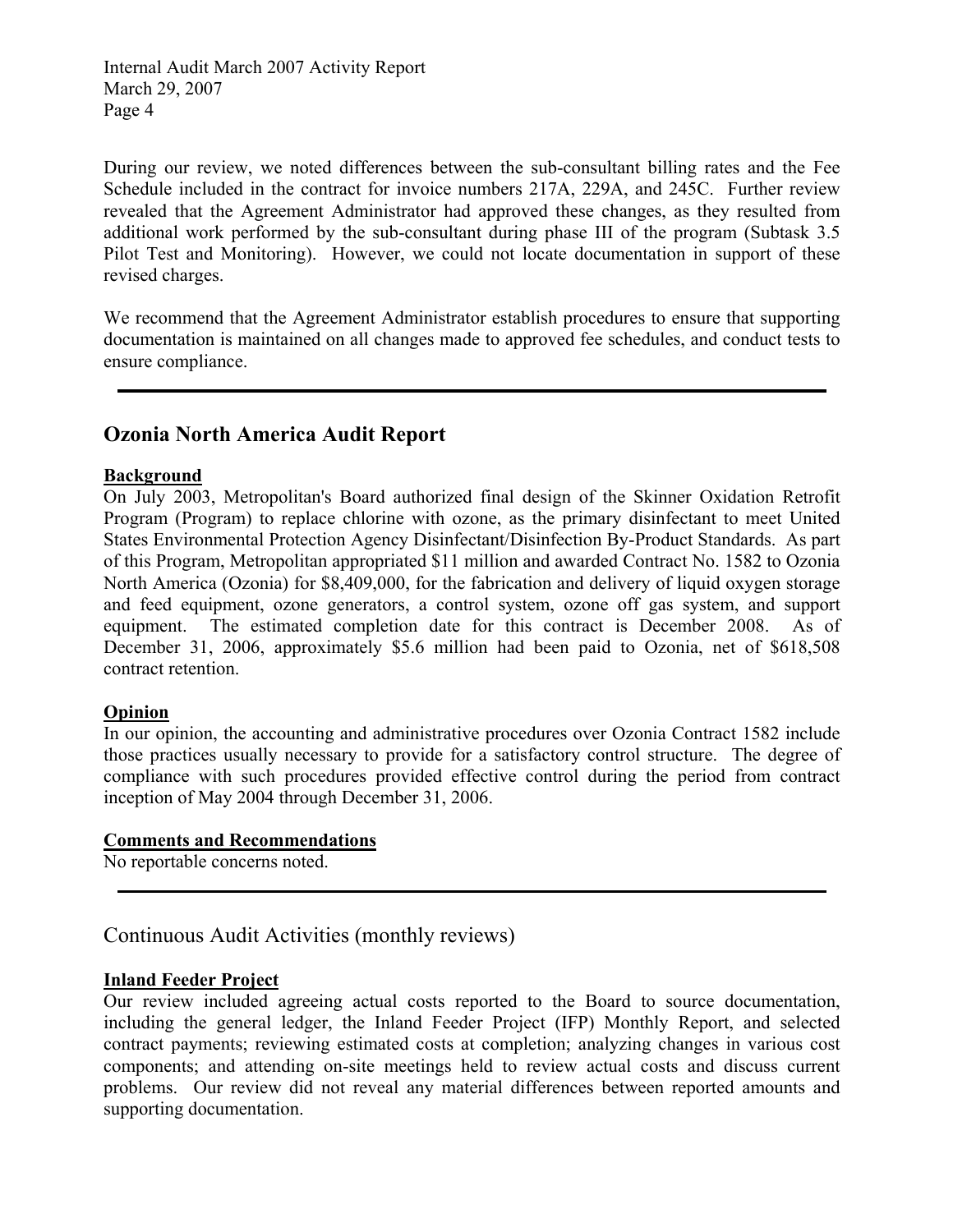Internal Audit March 2007 Activity Report March 29, 2007 Page 4

During our review, we noted differences between the sub-consultant billing rates and the Fee Schedule included in the contract for invoice numbers 217A, 229A, and 245C. Further review revealed that the Agreement Administrator had approved these changes, as they resulted from additional work performed by the sub-consultant during phase III of the program (Subtask 3.5 Pilot Test and Monitoring). However, we could not locate documentation in support of these revised charges.

We recommend that the Agreement Administrator establish procedures to ensure that supporting documentation is maintained on all changes made to approved fee schedules, and conduct tests to ensure compliance.

# **Ozonia North America Audit Report**

### **Background**

On July 2003, Metropolitan's Board authorized final design of the Skinner Oxidation Retrofit Program (Program) to replace chlorine with ozone, as the primary disinfectant to meet United States Environmental Protection Agency Disinfectant/Disinfection By-Product Standards. As part of this Program, Metropolitan appropriated \$11 million and awarded Contract No. 1582 to Ozonia North America (Ozonia) for \$8,409,000, for the fabrication and delivery of liquid oxygen storage and feed equipment, ozone generators, a control system, ozone off gas system, and support equipment. The estimated completion date for this contract is December 2008. As of December 31, 2006, approximately \$5.6 million had been paid to Ozonia, net of \$618,508 contract retention.

### **Opinion**

In our opinion, the accounting and administrative procedures over Ozonia Contract 1582 include those practices usually necessary to provide for a satisfactory control structure. The degree of compliance with such procedures provided effective control during the period from contract inception of May 2004 through December 31, 2006.

#### **Comments and Recommendations**

No reportable concerns noted.

# Continuous Audit Activities (monthly reviews)

### **Inland Feeder Project**

Our review included agreeing actual costs reported to the Board to source documentation, including the general ledger, the Inland Feeder Project (IFP) Monthly Report, and selected contract payments; reviewing estimated costs at completion; analyzing changes in various cost components; and attending on-site meetings held to review actual costs and discuss current problems. Our review did not reveal any material differences between reported amounts and supporting documentation.